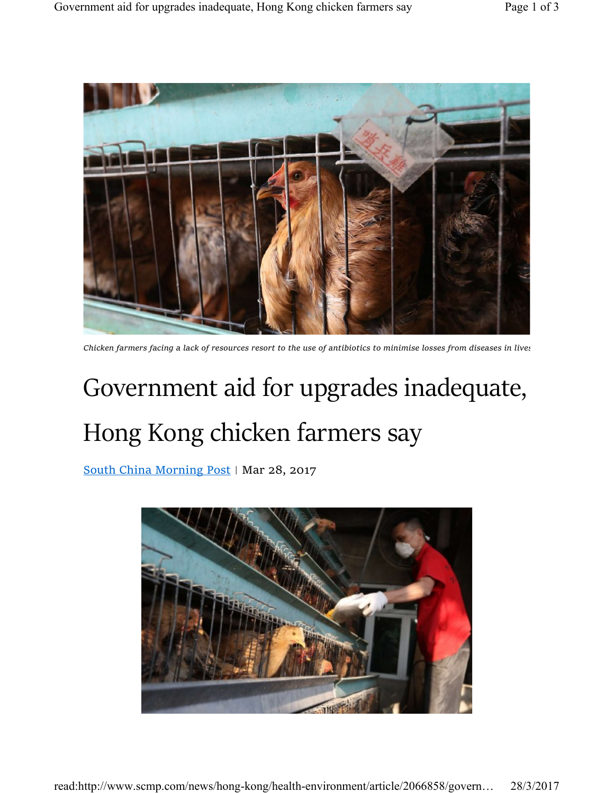

Chicken farmers facing a lack of resources resort to the use of antibiotics to minimise losses from diseases in lives

## Government aid for upgrades inadequate, Hong Kong chicken farmers say

South China Morning Post | Mar 28, 2017

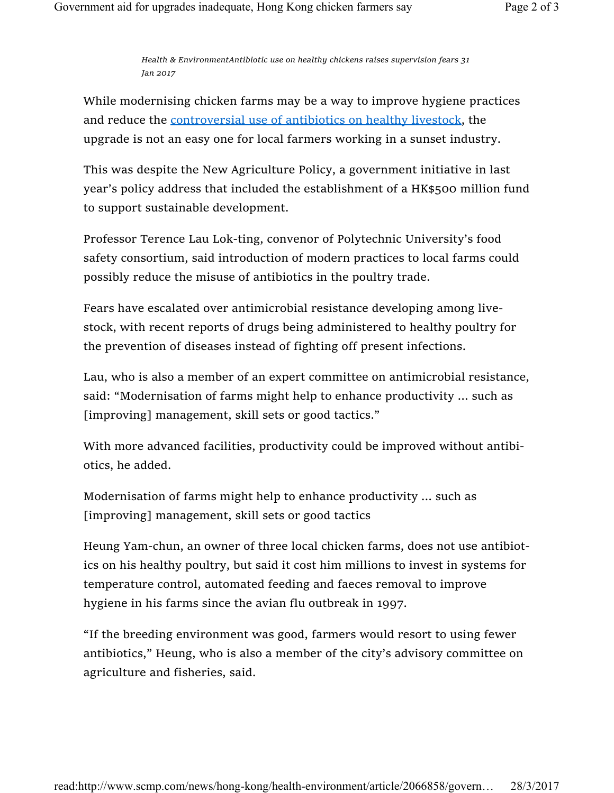Health & EnvironmentAntibiotic use on healthy chickens raises supervision fears 31 Jan 2017

While modernising chicken farms may be a way to improve hygiene practices and reduce the controversial use of antibiotics on healthy livestock, the upgrade is not an easy one for local farmers working in a sunset industry.

This was despite the New Agriculture Policy, a government initiative in last year's policy address that included the establishment of a HK\$500 million fund to support sustainable development.

Professor Terence Lau Lok-ting, convenor of Polytechnic University's food safety consortium, said introduction of modern practices to local farms could possibly reduce the misuse of antibiotics in the poultry trade.

Fears have escalated over antimicrobial resistance developing among livestock, with recent reports of drugs being administered to healthy poultry for the prevention of diseases instead of fighting off present infections.

Lau, who is also a member of an expert committee on antimicrobial resistance, said: "Modernisation of farms might help to enhance productivity ... such as [improving] management, skill sets or good tactics."

With more advanced facilities, productivity could be improved without antibiotics, he added.

Modernisation of farms might help to enhance productivity ... such as [improving] management, skill sets or good tactics

Heung Yam-chun, an owner of three local chicken farms, does not use antibiotics on his healthy poultry, but said it cost him millions to invest in systems for temperature control, automated feeding and faeces removal to improve hygiene in his farms since the avian flu outbreak in 1997.

"If the breeding environment was good, farmers would resort to using fewer antibiotics," Heung, who is also a member of the city's advisory committee on agriculture and fisheries, said.